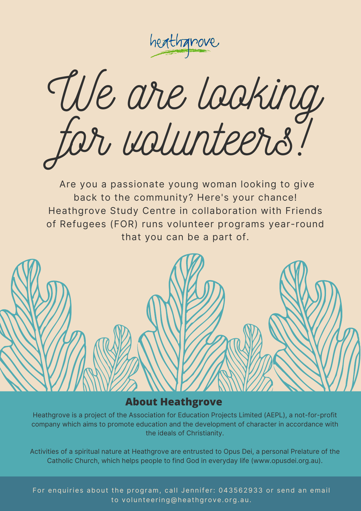heathanove

We are looking for volunteers!

Are you a passionate young woman looking to give back to the community? Here's your chance! Heathgrove Study Centre in collaboration with Friends of Refugees (FOR) runs volunteer programs year-round that you can be a part of.

#### **About Heathgrove**

Heathgrove is a project of the Association for Education Projects Limited (AEPL), a not-for-profit company which aims to promote education and the development of character in accordance with the ideals of Christianity.

Activities of a spiritual nature at Heathgrove are entrusted to Opus Dei, a personal Prelature of the Catholic Church, which helps people to find God in everyday life ([www.opusdei.org.au](http://www.opusdei.org.au/)).

For enquiries about the program, call Jennifer: 043562933 or send an email to [volunteering@heathgrove.org.au.](mailto:volunteering@heathgrove.org.au)